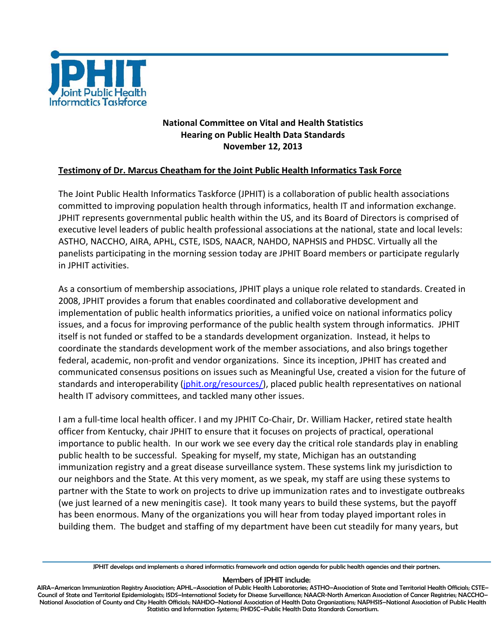

## **National Committee on Vital and Health Statistics Hearing on Public Health Data Standards November 12, 2013**

## **Testimony of Dr. Marcus Cheatham for the Joint Public Health Informatics Task Force**

The Joint Public Health Informatics Taskforce (JPHIT) is a collaboration of public health associations committed to improving population health through informatics, health IT and information exchange. JPHIT represents governmental public health within the US, and its Board of Directors is comprised of executive level leaders of public health professional associations at the national, state and local levels: ASTHO, NACCHO, AIRA, APHL, CSTE, ISDS, NAACR, NAHDO, NAPHSIS and PHDSC. Virtually all the panelists participating in the morning session today are JPHIT Board members or participate regularly in JPHIT activities.

As a consortium of membership associations, JPHIT plays a unique role related to standards. Created in 2008, JPHIT provides a forum that enables coordinated and collaborative development and implementation of public health informatics priorities, a unified voice on national informatics policy issues, and a focus for improving performance of the public health system through informatics. JPHIT itself is not funded or staffed to be a standards development organization. Instead, it helps to coordinate the standards development work of the member associations, and also brings together federal, academic, non‐profit and vendor organizations. Since its inception, JPHIT has created and communicated consensus positions on issues such as Meaningful Use, created a vision for the future of standards and interoperability (jphit.org/resources/), placed public health representatives on national health IT advisory committees, and tackled many other issues.

I am a full‐time local health officer. I and my JPHIT Co‐Chair, Dr. William Hacker, retired state health officer from Kentucky, chair JPHIT to ensure that it focuses on projects of practical, operational importance to public health. In our work we see every day the critical role standards play in enabling public health to be successful. Speaking for myself, my state, Michigan has an outstanding immunization registry and a great disease surveillance system. These systems link my jurisdiction to our neighbors and the State. At this very moment, as we speak, my staff are using these systems to partner with the State to work on projects to drive up immunization rates and to investigate outbreaks (we just learned of a new meningitis case). It took many years to build these systems, but the payoff has been enormous. Many of the organizations you will hear from today played important roles in building them. The budget and staffing of my department have been cut steadily for many years, but

## Members of JPHIT include:

JPHIT develops and implements a shared informatics framework and action agenda for public health agencies and their partners.

AIRA–American Immunization Registry Association; APHL–Association of Public Health Laboratories; ASTHO–Association of State and Territorial Health Officials; CSTE– Council of State and Territorial Epidemiologists; ISDS–International Society for Disease Surveillance; NAACR-North American Association of Cancer Registries; NACCHO– National Association of County and City Health Officials; NAHDO–National Association of Health Data Organizations; NAPHSIS–National Association of Public Health Statistics and Information Systems; PHDSC–Public Health Data Standards Consortium.